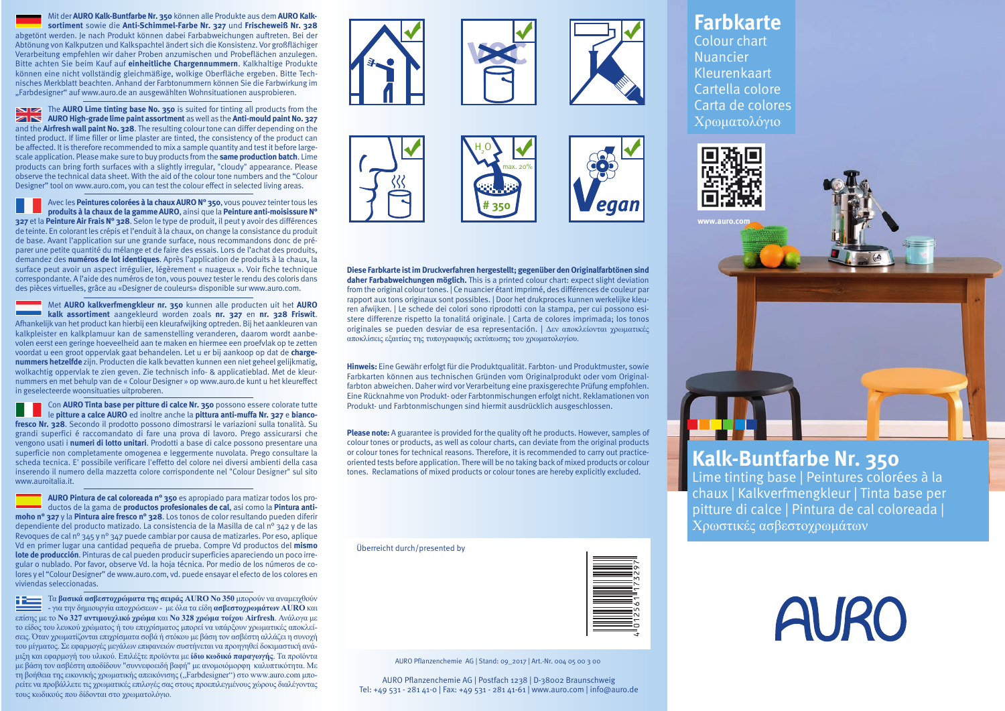Mit der **AURO Kalk-Buntfarbe Nr. 350** können alle Produkte aus dem **AURO Kalksortiment** sowie die **Anti-Schimmel-Farbe Nr. 327** und **Frischeweiß Nr. 328** abgetönt werden. Je nach Produkt können dabei Farbabweichungen auftreten. Bei der Abtönung von Kalkputzen und Kalkspachtel ändert sich die Konsistenz. Vor großflächiger Verarbeitung empfehlen wir daher Proben anzumischen und Probeflächen anzulegen. Bitte achten Sie beim Kauf auf **einheitliche Chargennummern**. Kalkhaltige Produkte können eine nicht vollständig gleichmäßige, wolkige Oberfläche ergeben. Bitte Technisches Merkblatt beachten. Anhand der Farbtonummern können Sie die Farbwirkung im "Farbdesigner" auf www.auro.de an ausgewählten Wohnsituationen ausprobieren.

The **AURO Lime tinting base No. 350** is suited for tinting all products from the **AURO High-grade lime paint assortment** as well as the **Anti-mould paint No. 327** and the **Airfresh wall paint No. 328**. The resulting colour tone can differ depending on the tinted product. If lime filler or lime plaster are tinted, the consistency of the product can be affected. It is therefore recommended to mix a sample quantity and test it before largescale application. Please make sure to buy products from the **same production batch**. Lime products can bring forth surfaces with a slightly irregular, "cloudy" appearance. Please observe the technical data sheet. With the aid of the colour tone numbers and the "Colour Designer" tool on www.auro.com, you can test the colour effect in selected living areas.

Avec les **Peintures colorées à la chaux AURO N° 350**, vous pouvez teinter tous les **produits à la chaux de la gamme AURO**, ainsi que la **Peinture anti-moisissure N° 327** et la **Peinture Air Frais N° 328**. Selon le type de produit, il peut y avoir des différences de teinte. En colorant les crépis et l'enduit à la chaux, on change la consistance du produit de base. Avant l'application sur une grande surface, nous recommandons donc de préparer une petite quantité du mélange et de faire des essais. Lors de l'achat des produits, demandez des **numéros de lot identiques**. Après l'application de produits à la chaux, la surface peut avoir un aspect irrégulier, légèrement « nuageux ». Voir fiche technique correspondante. A l'aide des numéros de ton, vous pouvez tester le rendu des coloris dans des pièces virtuelles, grâce au «Designer de couleurs» disponible sur www.auro.com.

Met **AURO kalkverfmengkleur nr. 350** kunnen alle producten uit het **AURO kalk assortiment** aangekleurd worden zoals **nr. 327** en **nr. 328 Friswit**. Afhankelijk van het product kan hierbij een kleurafwijking optreden. Bij het aankleuren van kalkpleister en kalkplamuur kan de samenstelling veranderen, daarom wordt aanbevolen eerst een geringe hoeveelheid aan te maken en hiermee een proefvlak op te zetten voordat u een groot oppervlak gaat behandelen. Let u er bij aankoop op dat de **chargenummers hetzelfde** zijn. Producten die kalk bevatten kunnen een niet geheel gelijkmatig, wolkachtig oppervlak te zien geven. Zie technisch info- & applicatieblad. Met de kleurnummers en met behulp van de « Colour Designer » op www.auro.de kunt u het kleureffect in geselecteerde woonsituaties uitproberen.

Con **AURO Tinta base per pitture di calce Nr. 350** possono essere colorate tutte le **pitture a calce AURO** ed inoltre anche la **pittura anti-muffa Nr. 327** <sup>e</sup>**biancofresco Nr. 328**. Secondo il prodotto possono dimostrarsi le variazioni sulla tonalità. Su grandi superfici é raccomandato di fare una prova di lavoro. Prego assicurarsi che vengono usati i **numeri di lotto unitari**. Prodotti a base di calce possono presentare una superficie non completamente omogenea e leggermente nuvolata. Prego consultare la scheda tecnica. E' possibile verificare l'effetto del colore nei diversi ambienti della casa inserendo il numero della mazzetta colore corrispondente nel "Colour Designer" sul sito www.auroitalia.it.

**AURO Pintura de cal coloreada n° 350** es apropiado para matizar todos los productos de la gama de **productos profesionales de cal**, asi como la **Pintura antimoho n° 327** y la **Pintura aire fresco n° 328**. Los tonos de color resultando pueden diferir dependiente del producto matizado. La consistencia de la Masilla de cal n° 342 y de las Revoques de cal n° 345 y n° 347 puede cambiar por causa de matizarles. Por eso, aplique Vd en primer lugar una cantidad pequeña de prueba. Compre Vd productos del **mismo lote de producción**. Pinturas de cal pueden producir superficies apareciendo un poco irregular o nublado. Por favor, observe Vd. la hoja técnica. Por medio de los números de colores y el "Colour Designer" de www.auro.com, vd. puede ensayar el efecto de los colores en viviendas seleccionadas.

Τα **βασικά ασβεστοχρώματα της σειράς AURO Νο 350** μπορούν να αναμειχθούν - για την δημιουργία αποχρώσεων - με όλα τα είδη **ασβεστοχρωμάτων AURO** και επίσης με το **Νο 327 αντιμουχλικό χρώμα** και **Νο 328 χρώμα τοίχου Airfresh**. Ανάλογα με το είδος του λευκού χρώματος ή του επιχρίσματος μπορεί να υπάρξουν χρωματικές αποκλείσεις. Όταν χρωματίζονται επιχρίσματα σοβά ή στόκου με βάση τον ασβέστη αλλάζει η συνοχή του μίγματος. Σε εφαρμογές μεγάλων επιφανειών συστήνεται να προηγηθεί δοκιμαστική ανάμιξη και εφαρμογή του υλικού. Επιλέξτε προϊόντα με **ίδιο κωδικό παραγωγής**. Τα προϊόντα με βάση τον ασβέστη αποδίδουν "συννεφοειδή βαφή" με ανομοιόμορφη καλυπτικότητα. Με τη βοήθεια της εικονικής χρωματικής απεικόνισης ("Farbdesigner") στο www.auro.com μπορείτε να προβάλλετε τις χρωματικές επιλογές σας στους προεπιλεγμένους χώρους διαλέγοντας τους κωδικούς που δίδονται στο χρωματολόγιο.











**Diese Farbkarte ist im Druckverfahren hergestellt; gegenüber den Originalfarbtönen sind daher Farbabweichungen möglich.** This is a printed colour chart: expect slight deviation from the original colour tones. | Ce nuancier étant imprimé, des différences de couleur par rapport aux tons originaux sont possibles. | Door het drukproces kunnen werkelijke kleuren afwijken. | Le schede dei colori sono riprodotti con la stampa, per cui possono esistere differenze rispetto la tonalitá originale. | Carta de colores imprimada; los tonos originales se pueden desviar de esa representación. | Δεν αποκλείονται χρωματικές αποκλίσεις εξαιτίας της τυπογραφικής εκτύπωσης του χρωματολογίου.

**Hinweis:** Eine Gewähr erfolgt für die Produktqualität. Farbton- und Produktmuster, sowie Farbkarten können aus technischen Gründen vom Originalprodukt oder vom Originalfarbton abweichen. Daher wird vor Verarbeitung eine praxisgerechte Prüfung empfohlen. Eine Rücknahme von Produkt- oder Farbtonmischungen erfolgt nicht. Reklamationen von Produkt- und Farbtonmischungen sind hiermit ausdrücklich ausgeschlossen.

**Please note:** A guarantee is provided for the quality oft he products. However, samples of colour tones or products, as well as colour charts, can deviate from the original products or colour tones for technical reasons. Therefore, it is recommended to carry out practiceoriented tests before application. There will be no taking back of mixed products or colour tones. Reclamations of mixed products or colour tones are hereby explicitly excluded.

Überreicht durch/presented by



AURO Pflanzenchemie AG | Stand: 09\_2017 | Art.-Nr. 004 05 00 3 00

AURO Pflanzenchemie AG | Postfach 1238 | D-38002 Braunschweig Tel: +49 531 - 281 41-0 | Fax: +49 531 - 281 41-61 | www.auro.com | info@auro.de

## **Farbkarte**

Colour chart Nuancier Kleurenkaart Cartella colore Carta de colores Χρωματολόγιο



## Kalk-Buntfarbe Nr. 350<br>Lime tinting base | Peintures colorées à la

chaux | Kalkverfmengkleur | Tinta base per pitture di calce | Pintura de cal coloreada | Χρωστικές ασβεστοχρωμάτων

|  | <b>AURO</b> |
|--|-------------|
|--|-------------|